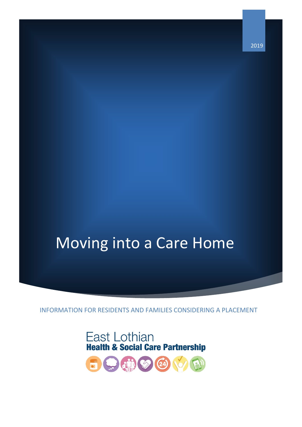2019

# Moving into a Care Home

INFORMATION FOR RESIDENTS AND FAMILIES CONSIDERING A PLACEMENT

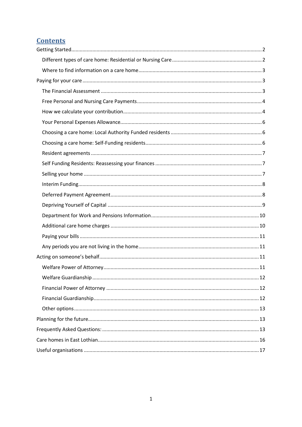## **Contents**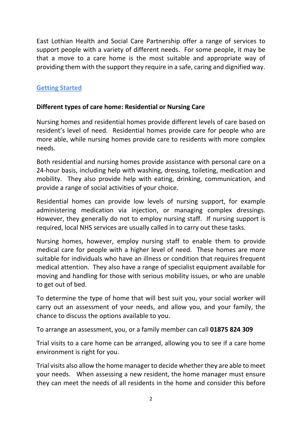East Lothian Health and Social Care Partnership offer a range of services to support people with a variety of different needs. For some people, it may be that a move to a care home is the most suitable and appropriate way of providing them with the support they require in a safe, caring and dignified way.

#### <span id="page-2-0"></span>**Getting Started**

#### <span id="page-2-1"></span>**Different types of care home: Residential or Nursing Care**

Nursing homes and residential homes provide different levels of care based on resident's level of need. Residential homes provide care for people who are more able, while nursing homes provide care to residents with more complex needs.

Both residential and nursing homes provide assistance with personal care on a 24-hour basis, including help with washing, dressing, toileting, medication and mobility. They also provide help with eating, drinking, communication, and provide a range of social activities of your choice.

Residential homes can provide low levels of nursing support, for example administering medication via injection, or managing complex dressings. However, they generally do not to employ nursing staff. If nursing support is required, local NHS services are usually called in to carry out these tasks.

Nursing homes, however, employ nursing staff to enable them to provide medical care for people with a higher level of need. These homes are more suitable for individuals who have an illness or condition that requires frequent medical attention. They also have a range of specialist equipment available for moving and handling for those with serious mobility issues, or who are unable to get out of bed.

To determine the type of home that will best suit you, your social worker will carry out an assessment of your needs, and allow you, and your family, the chance to discuss the options available to you.

To arrange an assessment, you, or a family member can call **01875 824 309**

Trial visits to a care home can be arranged, allowing you to see if a care home environment is right for you.

Trial visits also allow the home manager to decide whether they are able to meet your needs. When assessing a new resident, the home manager must ensure they can meet the needs of all residents in the home and consider this before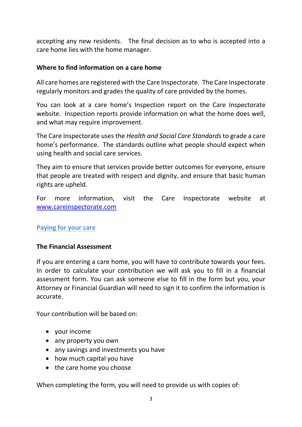accepting any new residents. The final decision as to who is accepted into a care home lies with the home manager.

#### <span id="page-3-0"></span>**Where to find information on a care home**

All care homes are registered with the Care Inspectorate. The Care Inspectorate regularly monitors and grades the quality of care provided by the homes.

You can look at a care home's Inspection report on the Care Inspectorate website. Inspection reports provide information on what the home does well, and what may require improvement.

The Care Inspectorate uses the *Health and Social Care Standards* to grade a care home's performance. The standards outline what people should expect when using health and social care services.

They aim to ensure that services provide better outcomes for everyone, ensure that people are treated with respect and dignity, and ensure that basic human rights are upheld.

For more information, visit the Care Inspectorate website at [www.careinspectorate.com](http://www.careinspectorate.com/)

#### <span id="page-3-1"></span>**Paying for your care**

#### <span id="page-3-2"></span>**The Financial Assessment**

If you are entering a care home, you will have to contribute towards your fees. In order to calculate your contribution we will ask you to fill in a financial assessment form. You can ask someone else to fill in the form but you, your Attorney or Financial Guardian will need to sign it to confirm the information is accurate.

Your contribution will be based on:

- your income
- any property you own
- any savings and investments you have
- how much capital you have
- the care home you choose

When completing the form, you will need to provide us with copies of: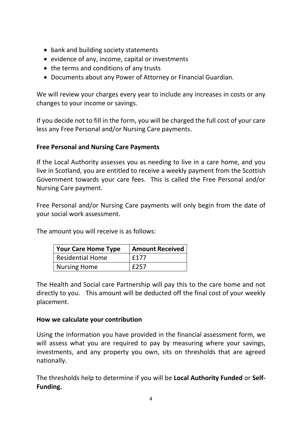- bank and building society statements
- $\bullet$  evidence of any, income, capital or investments
- the terms and conditions of any trusts
- Documents about any Power of Attorney or Financial Guardian.

We will review your charges every year to include any increases in costs or any changes to your income or savings.

If you decide not to fill in the form, you will be charged the full cost of your care less any Free Personal and/or Nursing Care payments.

#### <span id="page-4-0"></span>**Free Personal and Nursing Care Payments**

If the Local Authority assesses you as needing to live in a care home, and you live in Scotland, you are entitled to receive a weekly payment from the Scottish Government towards your care fees. This is called the Free Personal and/or Nursing Care payment.

Free Personal and/or Nursing Care payments will only begin from the date of your social work assessment.

The amount you will receive is as follows:

| <b>Your Care Home Type</b> | <b>Amount Received</b> |
|----------------------------|------------------------|
| <b>Residential Home</b>    | £177                   |
| <b>Nursing Home</b>        | £257                   |

The Health and Social care Partnership will pay this to the care home and not directly to you. This amount will be deducted off the final cost of your weekly placement.

#### <span id="page-4-1"></span>**How we calculate your contribution**

Using the information you have provided in the financial assessment form, we will assess what you are required to pay by measuring where your savings, investments, and any property you own, sits on thresholds that are agreed nationally.

The thresholds help to determine if you will be **Local Authority Funded** or **Self-Funding.**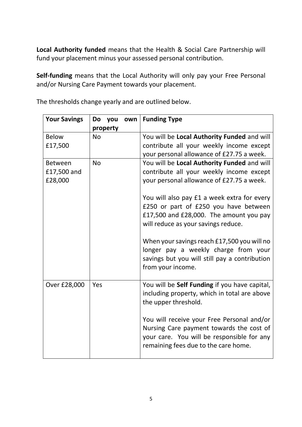**Local Authority funded** means that the Health & Social Care Partnership will fund your placement minus your assessed personal contribution.

**Self-funding** means that the Local Authority will only pay your Free Personal and/or Nursing Care Payment towards your placement.

| <b>Your Savings</b> | you<br>Do | own | <b>Funding Type</b>                                                                                                                                                          |
|---------------------|-----------|-----|------------------------------------------------------------------------------------------------------------------------------------------------------------------------------|
|                     | property  |     |                                                                                                                                                                              |
| <b>Below</b>        | <b>No</b> |     | You will be Local Authority Funded and will                                                                                                                                  |
| £17,500             |           |     | contribute all your weekly income except                                                                                                                                     |
|                     |           |     | your personal allowance of £27.75 a week.                                                                                                                                    |
| <b>Between</b>      | <b>No</b> |     | You will be Local Authority Funded and will                                                                                                                                  |
| £17,500 and         |           |     | contribute all your weekly income except                                                                                                                                     |
| £28,000             |           |     | your personal allowance of £27.75 a week.                                                                                                                                    |
|                     |           |     | You will also pay £1 a week extra for every<br>£250 or part of £250 you have between<br>£17,500 and £28,000. The amount you pay<br>will reduce as your savings reduce.       |
|                     |           |     | When your savings reach £17,500 you will no<br>longer pay a weekly charge from your<br>savings but you will still pay a contribution<br>from your income.                    |
| Over £28,000        | Yes       |     | You will be <b>Self Funding</b> if you have capital,<br>including property, which in total are above<br>the upper threshold.                                                 |
|                     |           |     | You will receive your Free Personal and/or<br>Nursing Care payment towards the cost of<br>your care. You will be responsible for any<br>remaining fees due to the care home. |

The thresholds change yearly and are outlined below.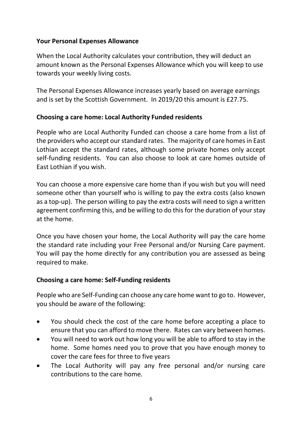#### <span id="page-6-0"></span>**Your Personal Expenses Allowance**

When the Local Authority calculates your contribution, they will deduct an amount known as the Personal Expenses Allowance which you will keep to use towards your weekly living costs.

The Personal Expenses Allowance increases yearly based on average earnings and is set by the Scottish Government. In 2019/20 this amount is £27.75.

#### <span id="page-6-1"></span>**Choosing a care home: Local Authority Funded residents**

People who are Local Authority Funded can choose a care home from a list of the providers who accept our standard rates. The majority of care homes in East Lothian accept the standard rates, although some private homes only accept self-funding residents. You can also choose to look at care homes outside of East Lothian if you wish.

You can choose a more expensive care home than if you wish but you will need someone other than yourself who is willing to pay the extra costs (also known as a top-up). The person willing to pay the extra costs will need to sign a written agreement confirming this, and be willing to do this for the duration of your stay at the home.

Once you have chosen your home, the Local Authority will pay the care home the standard rate including your Free Personal and/or Nursing Care payment. You will pay the home directly for any contribution you are assessed as being required to make.

#### <span id="page-6-2"></span>**Choosing a care home: Self-Funding residents**

People who are Self-Funding can choose any care home want to go to. However, you should be aware of the following:

- You should check the cost of the care home before accepting a place to ensure that you can afford to move there. Rates can vary between homes.
- You will need to work out how long you will be able to afford to stay in the home. Some homes need you to prove that you have enough money to cover the care fees for three to five years
- The Local Authority will pay any free personal and/or nursing care contributions to the care home.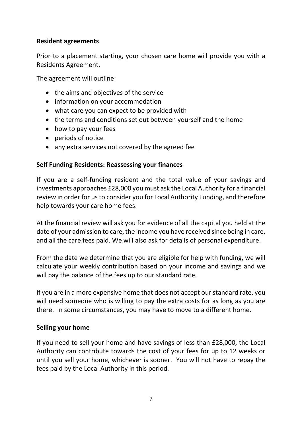#### <span id="page-7-0"></span>**Resident agreements**

Prior to a placement starting, your chosen care home will provide you with a Residents Agreement.

The agreement will outline:

- the aims and objectives of the service
- information on your accommodation
- what care you can expect to be provided with
- the terms and conditions set out between yourself and the home
- how to pay your fees
- periods of notice
- any extra services not covered by the agreed fee

#### <span id="page-7-1"></span>**Self Funding Residents: Reassessing your finances**

If you are a self-funding resident and the total value of your savings and investments approaches £28,000 you must ask the Local Authority for a financial review in order for us to consider you for Local Authority Funding, and therefore help towards your care home fees.

At the financial review will ask you for evidence of all the capital you held at the date of your admission to care, the income you have received since being in care, and all the care fees paid. We will also ask for details of personal expenditure.

From the date we determine that you are eligible for help with funding, we will calculate your weekly contribution based on your income and savings and we will pay the balance of the fees up to our standard rate.

If you are in a more expensive home that does not accept our standard rate, you will need someone who is willing to pay the extra costs for as long as you are there. In some circumstances, you may have to move to a different home.

#### <span id="page-7-2"></span>**Selling your home**

If you need to sell your home and have savings of less than £28,000, the Local Authority can contribute towards the cost of your fees for up to 12 weeks or until you sell your home, whichever is sooner. You will not have to repay the fees paid by the Local Authority in this period.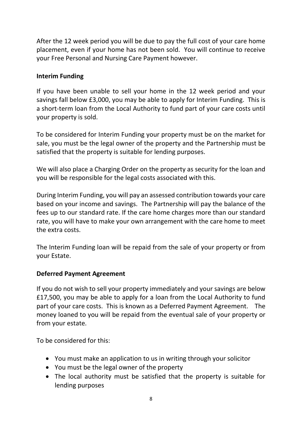After the 12 week period you will be due to pay the full cost of your care home placement, even if your home has not been sold. You will continue to receive your Free Personal and Nursing Care Payment however.

#### <span id="page-8-0"></span>**Interim Funding**

If you have been unable to sell your home in the 12 week period and your savings fall below £3,000, you may be able to apply for Interim Funding. This is a short-term loan from the Local Authority to fund part of your care costs until your property is sold.

To be considered for Interim Funding your property must be on the market for sale, you must be the legal owner of the property and the Partnership must be satisfied that the property is suitable for lending purposes.

We will also place a Charging Order on the property as security for the loan and you will be responsible for the legal costs associated with this.

During Interim Funding, you will pay an assessed contribution towards your care based on your income and savings. The Partnership will pay the balance of the fees up to our standard rate. If the care home charges more than our standard rate, you will have to make your own arrangement with the care home to meet the extra costs.

The Interim Funding loan will be repaid from the sale of your property or from your Estate.

#### <span id="page-8-1"></span>**Deferred Payment Agreement**

If you do not wish to sell your property immediately and your savings are below £17,500, you may be able to apply for a loan from the Local Authority to fund part of your care costs. This is known as a Deferred Payment Agreement. The money loaned to you will be repaid from the eventual sale of your property or from your estate.

To be considered for this:

- You must make an application to us in writing through your solicitor
- You must be the legal owner of the property
- The local authority must be satisfied that the property is suitable for lending purposes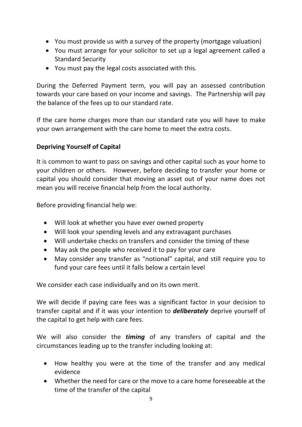- You must provide us with a survey of the property (mortgage valuation)
- You must arrange for your solicitor to set up a legal agreement called a Standard Security
- You must pay the legal costs associated with this.

During the Deferred Payment term, you will pay an assessed contribution towards your care based on your income and savings. The Partnership will pay the balance of the fees up to our standard rate.

If the care home charges more than our standard rate you will have to make your own arrangement with the care home to meet the extra costs.

# <span id="page-9-0"></span>**Depriving Yourself of Capital**

It is common to want to pass on savings and other capital such as your home to your children or others. However, before deciding to transfer your home or capital you should consider that moving an asset out of your name does not mean you will receive financial help from the local authority.

Before providing financial help we:

- Will look at whether you have ever owned property
- Will look your spending levels and any extravagant purchases
- Will undertake checks on transfers and consider the timing of these
- May ask the people who received it to pay for your care
- May consider any transfer as "notional" capital, and still require you to fund your care fees until it falls below a certain level

We consider each case individually and on its own merit.

We will decide if paying care fees was a significant factor in your decision to transfer capital and if it was your intention to *deliberately* deprive yourself of the capital to get help with care fees.

We will also consider the *timing* of any transfers of capital and the circumstances leading up to the transfer including looking at:

- How healthy you were at the time of the transfer and any medical evidence
- Whether the need for care or the move to a care home foreseeable at the time of the transfer of the capital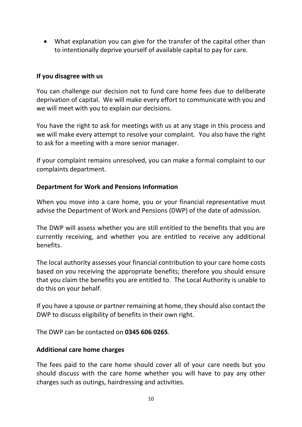What explanation you can give for the transfer of the capital other than to intentionally deprive yourself of available capital to pay for care.

#### **If you disagree with us**

You can challenge our decision not to fund care home fees due to deliberate deprivation of capital. We will make every effort to communicate with you and we will meet with you to explain our decisions.

You have the right to ask for meetings with us at any stage in this process and we will make every attempt to resolve your complaint. You also have the right to ask for a meeting with a more senior manager.

If your complaint remains unresolved, you can make a formal complaint to our complaints department.

#### <span id="page-10-0"></span>**Department for Work and Pensions Information**

When you move into a care home, you or your financial representative must advise the Department of Work and Pensions (DWP) of the date of admission.

The DWP will assess whether you are still entitled to the benefits that you are currently receiving, and whether you are entitled to receive any additional benefits.

The local authority assesses your financial contribution to your care home costs based on you receiving the appropriate benefits; therefore you should ensure that you claim the benefits you are entitled to. The Local Authority is unable to do this on your behalf.

If you have a spouse or partner remaining at home, they should also contact the DWP to discuss eligibility of benefits in their own right.

<span id="page-10-1"></span>The DWP can be contacted on **0345 606 0265**.

#### **Additional care home charges**

The fees paid to the care home should cover all of your care needs but you should discuss with the care home whether you will have to pay any other charges such as outings, hairdressing and activities.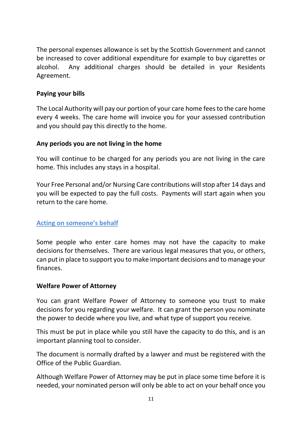The personal expenses allowance is set by the Scottish Government and cannot be increased to cover additional expenditure for example to buy cigarettes or alcohol. Any additional charges should be detailed in your Residents Agreement.

#### <span id="page-11-0"></span>**Paying your bills**

The Local Authority will pay our portion of your care home fees to the care home every 4 weeks. The care home will invoice you for your assessed contribution and you should pay this directly to the home.

#### <span id="page-11-1"></span>**Any periods you are not living in the home**

You will continue to be charged for any periods you are not living in the care home. This includes any stays in a hospital.

Your Free Personal and/or Nursing Care contributions will stop after 14 days and you will be expected to pay the full costs. Payments will start again when you return to the care home.

#### <span id="page-11-2"></span>**Acting on someone's behalf**

Some people who enter care homes may not have the capacity to make decisions for themselves. There are various legal measures that you, or others, can put in place to support you to make important decisions and to manage your finances.

#### <span id="page-11-3"></span>**Welfare Power of Attorney**

You can grant Welfare Power of Attorney to someone you trust to make decisions for you regarding your welfare. It can grant the person you nominate the power to decide where you live, and what type of support you receive.

This must be put in place while you still have the capacity to do this, and is an important planning tool to consider.

The document is normally drafted by a lawyer and must be registered with the Office of the Public Guardian.

Although Welfare Power of Attorney may be put in place some time before it is needed, your nominated person will only be able to act on your behalf once you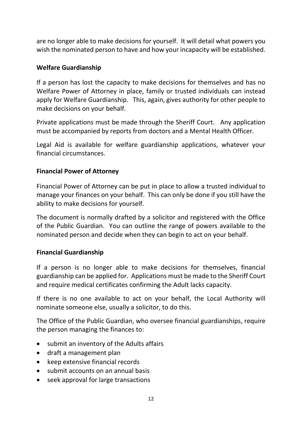are no longer able to make decisions for yourself. It will detail what powers you wish the nominated person to have and how your incapacity will be established.

#### <span id="page-12-0"></span>**Welfare Guardianship**

If a person has lost the capacity to make decisions for themselves and has no Welfare Power of Attorney in place, family or trusted individuals can instead apply for Welfare Guardianship. This, again, gives authority for other people to make decisions on your behalf.

Private applications must be made through the Sheriff Court. Any application must be accompanied by reports from doctors and a Mental Health Officer.

Legal Aid is available for welfare guardianship applications, whatever your financial circumstances.

#### <span id="page-12-1"></span>**Financial Power of Attorney**

Financial Power of Attorney can be put in place to allow a trusted individual to manage your finances on your behalf. This can only be done if you still have the ability to make decisions for yourself.

The document is normally drafted by a solicitor and registered with the Office of the Public Guardian. You can outline the range of powers available to the nominated person and decide when they can begin to act on your behalf.

#### <span id="page-12-2"></span>**Financial Guardianship**

If a person is no longer able to make decisions for themselves, financial guardianship can be applied for. Applications must be made to the Sheriff Court and require medical certificates confirming the Adult lacks capacity.

If there is no one available to act on your behalf, the Local Authority will nominate someone else, usually a solicitor, to do this.

The Office of the Public Guardian, who oversee financial guardianships, require the person managing the finances to:

- submit an inventory of the Adults affairs
- draft a management plan
- keep extensive financial records
- submit accounts on an annual basis
- seek approval for large transactions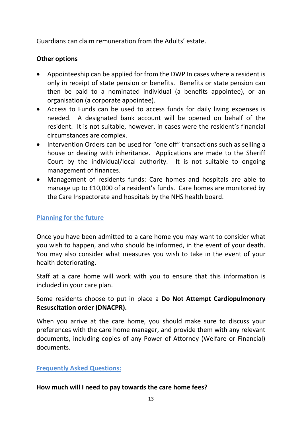Guardians can claim remuneration from the Adults' estate.

#### <span id="page-13-0"></span>**Other options**

- Appointeeship can be applied for from the DWP In cases where a resident is only in receipt of state pension or benefits. Benefits or state pension can then be paid to a nominated individual (a benefits appointee), or an organisation (a corporate appointee).
- Access to Funds can be used to access funds for daily living expenses is needed. A designated bank account will be opened on behalf of the resident. It is not suitable, however, in cases were the resident's financial circumstances are complex.
- Intervention Orders can be used for "one off" transactions such as selling a house or dealing with inheritance. Applications are made to the Sheriff Court by the individual/local authority. It is not suitable to ongoing management of finances.
- Management of residents funds: Care homes and hospitals are able to manage up to £10,000 of a resident's funds. Care homes are monitored by the Care Inspectorate and hospitals by the NHS health board.

#### <span id="page-13-1"></span>**Planning for the future**

Once you have been admitted to a care home you may want to consider what you wish to happen, and who should be informed, in the event of your death. You may also consider what measures you wish to take in the event of your health deteriorating.

Staff at a care home will work with you to ensure that this information is included in your care plan.

#### Some residents choose to put in place a **Do Not Attempt Cardiopulmonory Resuscitation order (DNACPR).**

When you arrive at the care home, you should make sure to discuss your preferences with the care home manager, and provide them with any relevant documents, including copies of any Power of Attorney (Welfare or Financial) documents.

#### <span id="page-13-2"></span>**Frequently Asked Questions:**

#### **How much will I need to pay towards the care home fees?**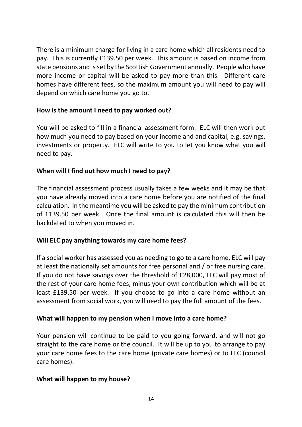There is a minimum charge for living in a care home which all residents need to pay. This is currently £139.50 per week. This amount is based on income from state pensions and is set by the Scottish Government annually. People who have more income or capital will be asked to pay more than this. Different care homes have different fees, so the maximum amount you will need to pay will depend on which care home you go to.

#### **How is the amount I need to pay worked out?**

You will be asked to fill in a financial assessment form. ELC will then work out how much you need to pay based on your income and and capital, e.g. savings, investments or property. ELC will write to you to let you know what you will need to pay.

#### **When will I find out how much I need to pay?**

The financial assessment process usually takes a few weeks and it may be that you have already moved into a care home before you are notified of the final calculation. In the meantime you will be asked to pay the minimum contribution of £139.50 per week. Once the final amount is calculated this will then be backdated to when you moved in.

#### **Will ELC pay anything towards my care home fees?**

If a social worker has assessed you as needing to go to a care home, ELC will pay at least the nationally set amounts for free personal and / or free nursing care. If you do not have savings over the threshold of £28,000, ELC will pay most of the rest of your care home fees, minus your own contribution which will be at least £139.50 per week. If you choose to go into a care home without an assessment from social work, you will need to pay the full amount of the fees.

#### **What will happen to my pension when I move into a care home?**

Your pension will continue to be paid to you going forward, and will not go straight to the care home or the council. It will be up to you to arrange to pay your care home fees to the care home (private care homes) or to ELC (council care homes).

#### **What will happen to my house?**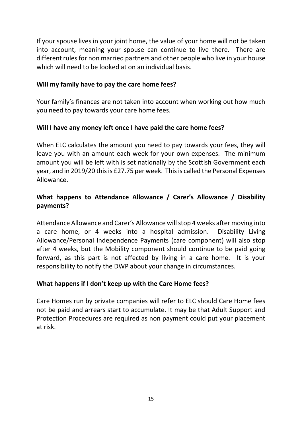If your spouse lives in your joint home, the value of your home will not be taken into account, meaning your spouse can continue to live there. There are different rules for non married partners and other people who live in your house which will need to be looked at on an individual basis.

#### **Will my family have to pay the care home fees?**

Your family's finances are not taken into account when working out how much you need to pay towards your care home fees.

#### **Will I have any money left once I have paid the care home fees?**

When ELC calculates the amount you need to pay towards your fees, they will leave you with an amount each week for your own expenses. The minimum amount you will be left with is set nationally by the Scottish Government each year, and in 2019/20 this is £27.75 per week. This is called the Personal Expenses Allowance.

## **What happens to Attendance Allowance / Carer's Allowance / Disability payments?**

Attendance Allowance and Carer's Allowance will stop 4 weeks after moving into a care home, or 4 weeks into a hospital admission. Disability Living Allowance/Personal Independence Payments (care component) will also stop after 4 weeks, but the Mobility component should continue to be paid going forward, as this part is not affected by living in a care home. It is your responsibility to notify the DWP about your change in circumstances.

#### **What happens if I don't keep up with the Care Home fees?**

Care Homes run by private companies will refer to ELC should Care Home fees not be paid and arrears start to accumulate. It may be that Adult Support and Protection Procedures are required as non payment could put your placement at risk.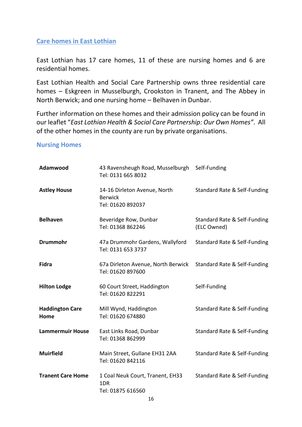#### <span id="page-16-0"></span>**Care homes in East Lothian**

East Lothian has 17 care homes, 11 of these are nursing homes and 6 are residential homes.

East Lothian Health and Social Care Partnership owns three residential care homes – Eskgreen in Musselburgh, Crookston in Tranent, and The Abbey in North Berwick; and one nursing home – Belhaven in Dunbar.

Further information on these homes and their admission policy can be found in our leaflet "*East Lothian Health & Social Care Partnership: Our Own Homes"*. All of the other homes in the county are run by private organisations.

#### **Nursing Homes**

| Adamwood                       | 43 Ravensheugh Road, Musselburgh Self-Funding<br>Tel: 0131 665 8032 |                                             |
|--------------------------------|---------------------------------------------------------------------|---------------------------------------------|
| <b>Astley House</b>            | 14-16 Dirleton Avenue, North<br><b>Berwick</b><br>Tel: 01620 892037 | Standard Rate & Self-Funding                |
| <b>Belhaven</b>                | Beveridge Row, Dunbar<br>Tel: 01368 862246                          | Standard Rate & Self-Funding<br>(ELC Owned) |
| <b>Drummohr</b>                | 47a Drummohr Gardens, Wallyford<br>Tel: 0131 653 3737               | Standard Rate & Self-Funding                |
| <b>Fidra</b>                   | 67a Dirleton Avenue, North Berwick<br>Tel: 01620 897600             | Standard Rate & Self-Funding                |
| <b>Hilton Lodge</b>            | 60 Court Street, Haddington<br>Tel: 01620 822291                    | Self-Funding                                |
| <b>Haddington Care</b><br>Home | Mill Wynd, Haddington<br>Tel: 01620 674880                          | Standard Rate & Self-Funding                |
| <b>Lammermuir House</b>        | East Links Road, Dunbar<br>Tel: 01368 862999                        | Standard Rate & Self-Funding                |
| <b>Muirfield</b>               | Main Street, Gullane EH31 2AA<br>Tel: 01620 842116                  | Standard Rate & Self-Funding                |
| <b>Tranent Care Home</b>       | 1 Coal Neuk Court, Tranent, EH33<br>1DR<br>Tel: 01875 616560        | Standard Rate & Self-Funding                |